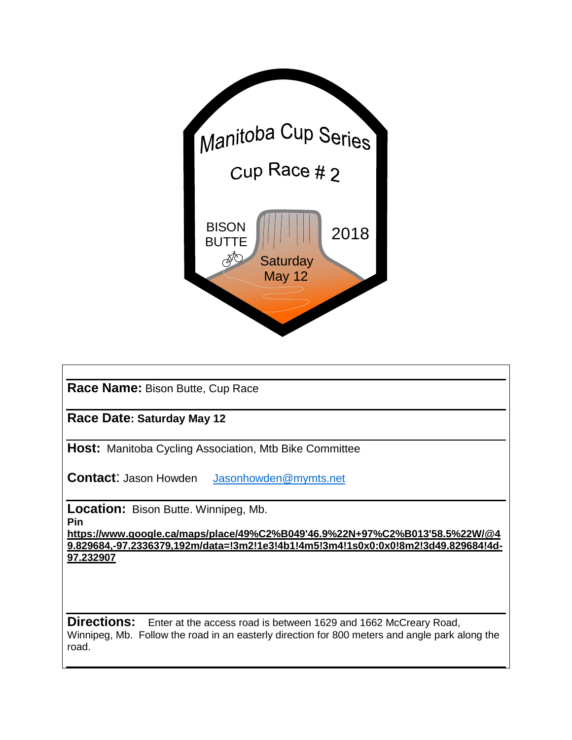

| <b>Race Name: Bison Butte, Cup Race</b>                                                                                                                                                        |
|------------------------------------------------------------------------------------------------------------------------------------------------------------------------------------------------|
| Race Date: Saturday May 12                                                                                                                                                                     |
| <b>Host:</b> Manitoba Cycling Association, Mtb Bike Committee                                                                                                                                  |
| <b>Contact:</b> Jason Howden Jasonhowden@mymts.net                                                                                                                                             |
| <b>Location:</b> Bison Butte. Winnipeg, Mb.                                                                                                                                                    |
| Pin                                                                                                                                                                                            |
| https://www.google.ca/maps/place/49%C2%B049'46.9%22N+97%C2%B013'58.5%22W/@4<br>9.829684,-97.2336379,192m/data=!3m2!1e3!4b1!4m5!3m4!1s0x0:0x0!8m2!3d49.829684!4d-                               |
| 97.232907                                                                                                                                                                                      |
|                                                                                                                                                                                                |
| <b>Directions:</b> Enter at the access road is between 1629 and 1662 McCreary Road,<br>Winnipeg, Mb. Follow the road in an easterly direction for 800 meters and angle park along the<br>road. |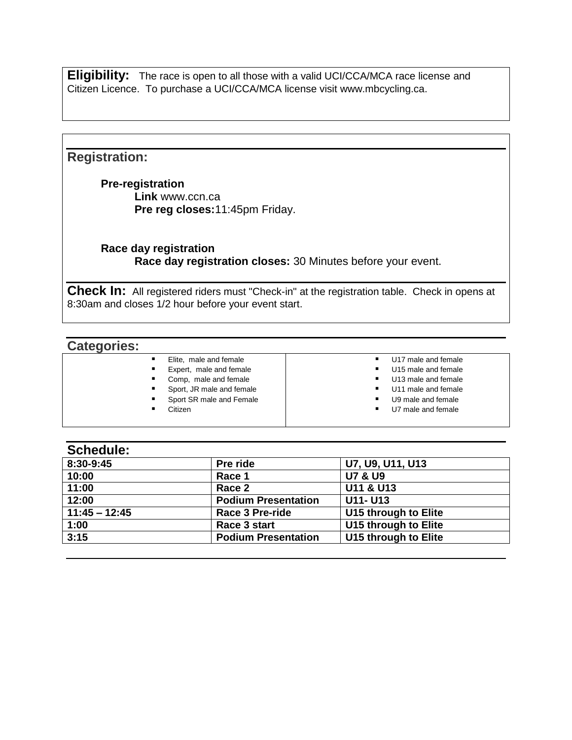**Eligibility:** The race is open to all those with a valid UCI/CCA/MCA race license and Citizen Licence. To purchase a UCI/CCA/MCA license visit www.mbcycling.ca.

# **Registration:**

**Pre-registration Link** www.ccn.ca **Pre reg closes:**11:45pm Friday.

**Race day registration Race day registration closes:** 30 Minutes before your event.

**Check In:** All registered riders must "Check-in" at the registration table. Check in opens at 8:30am and closes 1/2 hour before your event start.

## **Categories:**

- **Elite, male and female**
- Expert, male and female
- Comp, male and female
- Sport, JR male and female
- **Sport SR male and Female**
- Citizen
- U17 male and female
- U15 male and female U13 male and female
- 
- U11 male and female U9 male and female
- U7 male and female

#### **Schedule:**

| Pre ride                   | U7, U9, U11, U13     |
|----------------------------|----------------------|
| Race 1                     | <b>U7 &amp; U9</b>   |
| Race 2                     | U11 & U13            |
| <b>Podium Presentation</b> | <b>U11- U13</b>      |
| <b>Race 3 Pre-ride</b>     | U15 through to Elite |
| Race 3 start               | U15 through to Elite |
| <b>Podium Presentation</b> | U15 through to Elite |
|                            |                      |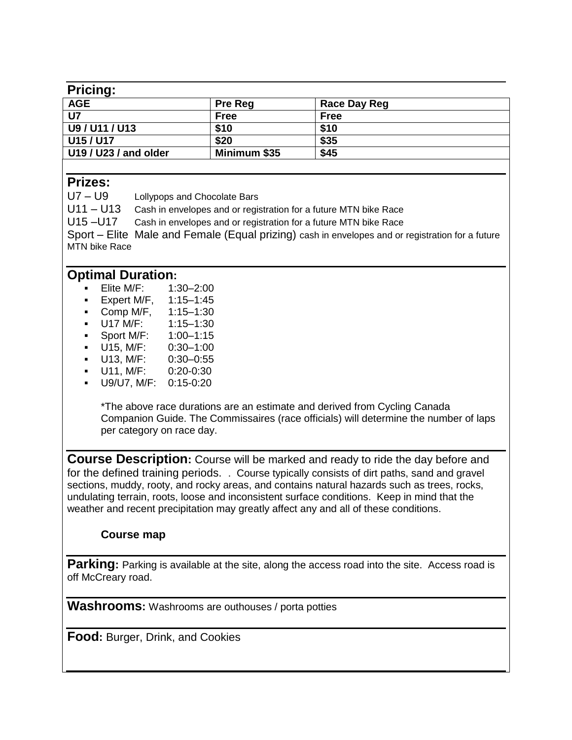## **Pricing:**

| 110000                |                |              |  |
|-----------------------|----------------|--------------|--|
| <b>AGE</b>            | <b>Pre Reg</b> | Race Day Reg |  |
| U7                    | <b>Free</b>    | <b>Free</b>  |  |
| U9 / U11 / U13        | \$10           | \$10         |  |
| U15 / U17             | \$20           | \$35         |  |
| U19 / U23 / and older | Minimum \$35   | \$45         |  |
|                       |                |              |  |

# **Prizes:**

U7 – U9 Lollypops and Chocolate Bars

U11 – U13 Cash in envelopes and or registration for a future MTN bike Race

U15 –U17 Cash in envelopes and or registration for a future MTN bike Race

Sport – Elite Male and Female (Equal prizing) cash in envelopes and or registration for a future MTN bike Race

# **Optimal Duration:**

- Elite M/F: 1:30–2:00
- Expert M/F, 1:15–1:45
- Comp M/F, 1:15–1:30
- $-$  U17 M/F: 1:15–1:30
- Sport M/F: 1:00–1:15
- U15, M/F: 0:30–1:00
- U13, M/F: 0:30–0:55
- U11, M/F: 0:20-0:30
- U9/U7, M/F: 0:15-0:20

\*The above race durations are an estimate and derived from Cycling Canada Companion Guide. The Commissaires (race officials) will determine the number of laps per category on race day.

**Course Description:** Course will be marked and ready to ride the day before and for the defined training periods. . Course typically consists of dirt paths, sand and gravel sections, muddy, rooty, and rocky areas, and contains natural hazards such as trees, rocks, undulating terrain, roots, loose and inconsistent surface conditions. Keep in mind that the weather and recent precipitation may greatly affect any and all of these conditions.

#### **Course map**

**Parking:** Parking is available at the site, along the access road into the site. Access road is off McCreary road.

**Washrooms:** Washrooms are outhouses / porta potties

**Food:** Burger, Drink, and Cookies